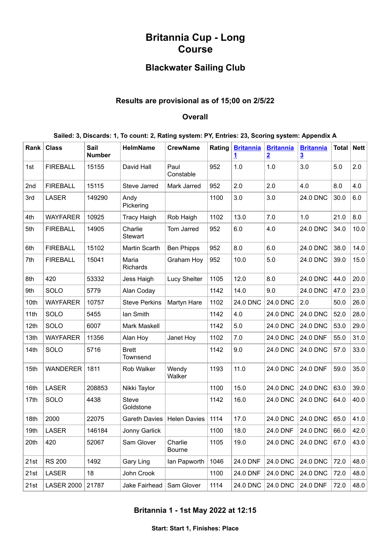# **Britannia Cup - Long Course**

## **Blackwater Sailing Club**

### **Results are provisional as of 15;00 on 2/5/22**

#### **Overall**

| Sailed: 3, Discards: 1, To count: 2, Rating system: PY, Entries: 23, Scoring system: Appendix A |  |  |  |  |
|-------------------------------------------------------------------------------------------------|--|--|--|--|

| Rank | <b>Class</b>      | Sail<br><b>Number</b> | <b>HelmName</b>           | <b>CrewName</b>     | Rating | <b>Britannia</b><br>1 | <b>Britannia</b><br>$\overline{2}$ | <b>Britannia</b><br>$\overline{3}$ | Total | <b>Nett</b> |
|------|-------------------|-----------------------|---------------------------|---------------------|--------|-----------------------|------------------------------------|------------------------------------|-------|-------------|
| 1st  | <b>FIREBALL</b>   | 15155                 | David Hall                | Paul<br>Constable   | 952    | 1.0                   | 1.0                                | 3.0                                | 5.0   | 2.0         |
| 2nd  | <b>FIREBALL</b>   | 15115                 | Steve Jarred              | Mark Jarred         | 952    | 2.0                   | 2.0                                | 4.0                                | 8.0   | 4.0         |
| 3rd  | <b>LASER</b>      | 149290                | Andy<br>Pickering         |                     | 1100   | 3.0                   | 3.0                                | 24.0 DNC                           | 30.0  | 6.0         |
| 4th  | <b>WAYFARER</b>   | 10925                 | <b>Tracy Haigh</b>        | Rob Haigh           | 1102   | 13.0                  | 7.0                                | 1.0                                | 21.0  | 8.0         |
| 5th  | <b>FIREBALL</b>   | 14905                 | Charlie<br><b>Stewart</b> | Tom Jarred          | 952    | 6.0                   | 4.0                                | 24.0 DNC                           | 34.0  | 10.0        |
| 6th  | <b>FIREBALL</b>   | 15102                 | Martin Scarth             | <b>Ben Phipps</b>   | 952    | 8.0                   | 6.0                                | 24.0 DNC                           | 38.0  | 14.0        |
| 7th  | <b>FIREBALL</b>   | 15041                 | Maria<br><b>Richards</b>  | Graham Hoy          | 952    | 10.0                  | 5.0                                | 24.0 DNC                           | 39.0  | 15.0        |
| 8th  | 420               | 53332                 | Jess Haigh                | <b>Lucy Shelter</b> | 1105   | 12.0                  | 8.0                                | 24.0 DNC                           | 44.0  | 20.0        |
| 9th  | SOLO              | 5779                  | Alan Coday                |                     | 1142   | 14.0                  | 9.0                                | 24.0 DNC                           | 47.0  | 23.0        |
| 10th | <b>WAYFARER</b>   | 10757                 | <b>Steve Perkins</b>      | Martyn Hare         | 1102   | 24.0 DNC              | <b>24.0 DNC</b>                    | 2.0                                | 50.0  | 26.0        |
| 11th | SOLO              | 5455                  | lan Smith                 |                     | 1142   | 4.0                   | 24.0 DNC                           | 24.0 DNC                           | 52.0  | 28.0        |
| 12th | SOLO              | 6007                  | <b>Mark Maskell</b>       |                     | 1142   | 5.0                   | 24.0 DNC                           | <b>24.0 DNC</b>                    | 53.0  | 29.0        |
| 13th | <b>WAYFARER</b>   | 11356                 | Alan Hoy                  | Janet Hoy           | 1102   | 7.0                   | 24.0 DNC                           | 24.0 DNF                           | 55.0  | 31.0        |
| 14th | SOLO              | 5716                  | <b>Brett</b><br>Townsend  |                     | 1142   | 9.0                   | 24.0 DNC                           | 24.0 DNC                           | 57.0  | 33.0        |
| 15th | <b>WANDERER</b>   | 1811                  | Rob Walker                | Wendy<br>Walker     | 1193   | 11.0                  | 24.0 DNC                           | 24.0 DNF                           | 59.0  | 35.0        |
| 16th | <b>LASER</b>      | 208853                | Nikki Taylor              |                     | 1100   | 15.0                  | 24.0 DNC                           | <b>24.0 DNC</b>                    | 63.0  | 39.0        |
| 17th | SOLO              | 4438                  | <b>Steve</b><br>Goldstone |                     | 1142   | 16.0                  | 24.0 DNC                           | 24.0 DNC                           | 64.0  | 40.0        |
| 18th | 2000              | 22075                 | Gareth Davies             | <b>Helen Davies</b> | 1114   | 17.0                  | 24.0 DNC                           | <b>24.0 DNC</b>                    | 65.0  | 41.0        |
| 19th | <b>LASER</b>      | 146184                | Jonny Garlick             |                     | 1100   | 18.0                  | 24.0 DNF                           | 24.0 DNC                           | 66.0  | 42.0        |
| 20th | 420               | 52067                 | Sam Glover                | Charlie<br>Bourne   | 1105   | 19.0                  | 24.0 DNC                           | 24.0 DNC                           | 67.0  | 43.0        |
| 21st | <b>RS 200</b>     | 1492                  | Gary Ling                 | lan Papworth        | 1046   | 24.0 DNF              | 24.0 DNC                           | 24.0 DNC                           | 72.0  | 48.0        |
| 21st | <b>LASER</b>      | 18                    | John Crook                |                     | 1100   | 24.0 DNF              | 24.0 DNC                           | 24.0 DNC                           | 72.0  | 48.0        |
| 21st | <b>LASER 2000</b> | 21787                 | Jake Fairhead             | Sam Glover          | 1114   | 24.0 DNC              | 24.0 DNC                           | 24.0 DNF                           | 72.0  | 48.0        |

### <span id="page-0-0"></span>**Britannia 1 - 1st May 2022 at 12:15**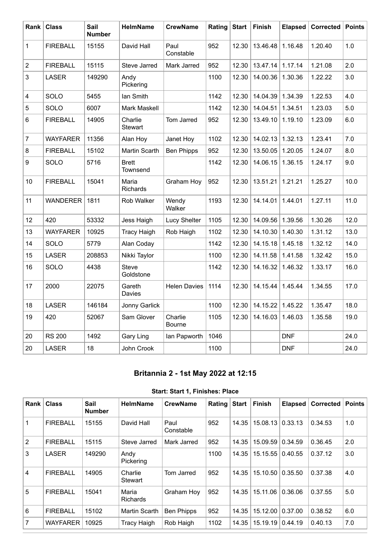| Rank                    | <b>Class</b>    | Sail<br><b>Number</b> | <b>HelmName</b>           | <b>CrewName</b>     | Rating | <b>Start</b> | Finish   | <b>Elapsed</b> | Corrected | <b>Points</b> |
|-------------------------|-----------------|-----------------------|---------------------------|---------------------|--------|--------------|----------|----------------|-----------|---------------|
| 1                       | <b>FIREBALL</b> | 15155                 | David Hall                | Paul<br>Constable   | 952    | 12.30        | 13.46.48 | 1.16.48        | 1.20.40   | 1.0           |
| $\sqrt{2}$              | <b>FIREBALL</b> | 15115                 | Steve Jarred              | Mark Jarred         | 952    | 12.30        | 13.47.14 | 1.17.14        | 1.21.08   | 2.0           |
| 3                       | <b>LASER</b>    | 149290                | Andy<br>Pickering         |                     | 1100   | 12.30        | 14.00.36 | 1.30.36        | 1.22.22   | 3.0           |
| $\overline{\mathbf{4}}$ | SOLO            | 5455                  | lan Smith                 |                     | 1142   | 12.30        | 14.04.39 | 1.34.39        | 1.22.53   | 4.0           |
| 5                       | SOLO            | 6007                  | Mark Maskell              |                     | 1142   | 12.30        | 14.04.51 | 1.34.51        | 1.23.03   | 5.0           |
| $\,6\,$                 | <b>FIREBALL</b> | 14905                 | Charlie<br><b>Stewart</b> | Tom Jarred          | 952    | 12.30        | 13.49.10 | 1.19.10        | 1.23.09   | 6.0           |
| $\overline{7}$          | <b>WAYFARER</b> | 11356                 | Alan Hoy                  | Janet Hoy           | 1102   | 12.30        | 14.02.13 | 1.32.13        | 1.23.41   | 7.0           |
| 8                       | <b>FIREBALL</b> | 15102                 | Martin Scarth             | <b>Ben Phipps</b>   | 952    | 12.30        | 13.50.05 | 1.20.05        | 1.24.07   | 8.0           |
| $\boldsymbol{9}$        | SOLO            | 5716                  | <b>Brett</b><br>Townsend  |                     | 1142   | 12.30        | 14.06.15 | 1.36.15        | 1.24.17   | 9.0           |
| 10                      | <b>FIREBALL</b> | 15041                 | Maria<br>Richards         | Graham Hoy          | 952    | 12.30        | 13.51.21 | 1.21.21        | 1.25.27   | 10.0          |
| 11                      | <b>WANDERER</b> | 1811                  | Rob Walker                | Wendy<br>Walker     | 1193   | 12.30        | 14.14.01 | 1.44.01        | 1.27.11   | 11.0          |
| 12                      | 420             | 53332                 | Jess Haigh                | <b>Lucy Shelter</b> | 1105   | 12.30        | 14.09.56 | 1.39.56        | 1.30.26   | 12.0          |
| 13                      | <b>WAYFARER</b> | 10925                 | <b>Tracy Haigh</b>        | Rob Haigh           | 1102   | 12.30        | 14.10.30 | 1.40.30        | 1.31.12   | 13.0          |
| 14                      | SOLO            | 5779                  | Alan Coday                |                     | 1142   | 12.30        | 14.15.18 | 1.45.18        | 1.32.12   | 14.0          |
| 15                      | <b>LASER</b>    | 208853                | Nikki Taylor              |                     | 1100   | 12.30        | 14.11.58 | 1.41.58        | 1.32.42   | 15.0          |
| 16                      | SOLO            | 4438                  | Steve<br>Goldstone        |                     | 1142   | 12.30        | 14.16.32 | 1.46.32        | 1.33.17   | 16.0          |
| 17                      | 2000            | 22075                 | Gareth<br>Davies          | <b>Helen Davies</b> | 1114   | 12.30        | 14.15.44 | 1.45.44        | 1.34.55   | 17.0          |
| 18                      | <b>LASER</b>    | 146184                | Jonny Garlick             |                     | 1100   | 12.30        | 14.15.22 | 1.45.22        | 1.35.47   | 18.0          |
| 19                      | 420             | 52067                 | Sam Glover                | Charlie<br>Bourne   | 1105   | 12.30        | 14.16.03 | 1.46.03        | 1.35.58   | 19.0          |
| 20                      | <b>RS 200</b>   | 1492                  | Gary Ling                 | lan Papworth        | 1046   |              |          | <b>DNF</b>     |           | 24.0          |
| 20                      | <b>LASER</b>    | 18                    | John Crook                |                     | 1100   |              |          | <b>DNF</b>     |           | 24.0          |

## **Britannia 2 - 1st May 2022 at 12:15**

|  | Start: Start 1, Finishes: Place |  |
|--|---------------------------------|--|
|  |                                 |  |

<span id="page-1-0"></span>

| Rank           | <b>Class</b>    | Sail<br><b>Number</b> | <b>HelmName</b>           | <b>CrewName</b>   | Rating | <b>Start</b> | <b>Finish</b> | <b>Elapsed</b> | Corrected | <b>Points</b> |
|----------------|-----------------|-----------------------|---------------------------|-------------------|--------|--------------|---------------|----------------|-----------|---------------|
| 1              | <b>FIREBALL</b> | 15155                 | David Hall                | Paul<br>Constable | 952    | 14.35        | 15.08.13      | 0.33.13        | 0.34.53   | 1.0           |
| $\overline{2}$ | <b>FIREBALL</b> | 15115                 | Steve Jarred              | Mark Jarred       | 952    | 14.35        | 15.09.59      | 0.34.59        | 0.36.45   | 2.0           |
| 3              | <b>LASER</b>    | 149290                | Andy<br>Pickering         |                   | 1100   | 14.35        | 15.15.55      | 0.40.55        | 0.37.12   | 3.0           |
| 4              | <b>FIREBALL</b> | 14905                 | Charlie<br><b>Stewart</b> | Tom Jarred        | 952    | 14.35        | 15.10.50      | 0.35.50        | 0.37.38   | 4.0           |
| 5              | <b>FIREBALL</b> | 15041                 | Maria<br><b>Richards</b>  | Graham Hoy        | 952    | 14.35        | 15.11.06      | 0.36.06        | 0.37.55   | 5.0           |
| 6              | <b>FIREBALL</b> | 15102                 | Martin Scarth             | <b>Ben Phipps</b> | 952    | 14.35        | 15.12.00      | 0.37.00        | 0.38.52   | 6.0           |
| 7              | <b>WAYFARER</b> | 10925                 | <b>Tracy Haigh</b>        | Rob Haigh         | 1102   | 14.35        | 15.19.19      | 0.44.19        | 0.40.13   | 7.0           |